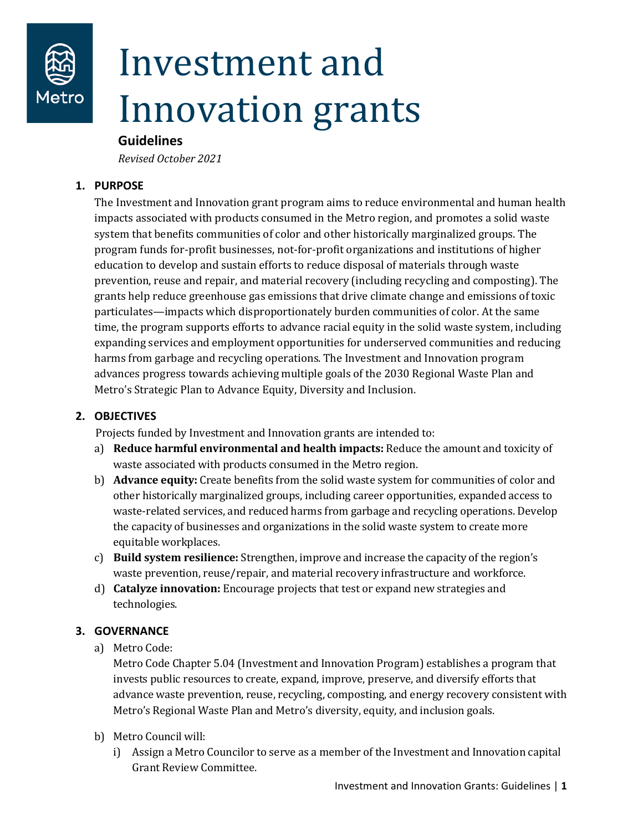

# Investment and Innovation grants

## **Guidelines**

*Revised October 2021*

#### **1. PURPOSE**

The Investment and Innovation grant program aims to reduce environmental and human health impacts associated with products consumed in the Metro region, and promotes a solid waste system that benefits communities of color and other historically marginalized groups. The program funds for-profit businesses, not-for-profit organizations and institutions of higher education to develop and sustain efforts to reduce disposal of materials through waste prevention, reuse and repair, and material recovery (including recycling and composting). The grants help reduce greenhouse gas emissions that drive climate change and emissions of toxic particulates—impacts which disproportionately burden communities of color. At the same time, the program supports efforts to advance racial equity in the solid waste system, including expanding services and employment opportunities for underserved communities and reducing harms from garbage and recycling operations. The Investment and Innovation program advances progress towards achieving multiple goals of the 2030 Regional Waste Plan and Metro's Strategic Plan to Advance Equity, Diversity and Inclusion.

## **2. OBJECTIVES**

Projects funded by Investment and Innovation grants are intended to:

- a) **Reduce harmful environmental and health impacts:** Reduce the amount and toxicity of waste associated with products consumed in the Metro region.
- b) **Advance equity:** Create benefits from the solid waste system for communities of color and other historically marginalized groups, including career opportunities, expanded access to waste-related services, and reduced harms from garbage and recycling operations. Develop the capacity of businesses and organizations in the solid waste system to create more equitable workplaces.
- c) **Build system resilience:** Strengthen, improve and increase the capacity of the region's waste prevention, reuse/repair, and material recovery infrastructure and workforce.
- d) **Catalyze innovation:** Encourage projects that test or expand new strategies and technologies.

# **3. GOVERNANCE**

a) Metro Code:

Metro Code Chapter 5.04 (Investment and Innovation Program) establishes a program that invests public resources to create, expand, improve, preserve, and diversify efforts that advance waste prevention, reuse, recycling, composting, and energy recovery consistent with Metro's Regional Waste Plan and Metro's diversity, equity, and inclusion goals.

- b) Metro Council will:
	- i) Assign a Metro Councilor to serve as a member of the Investment and Innovation capital Grant Review Committee.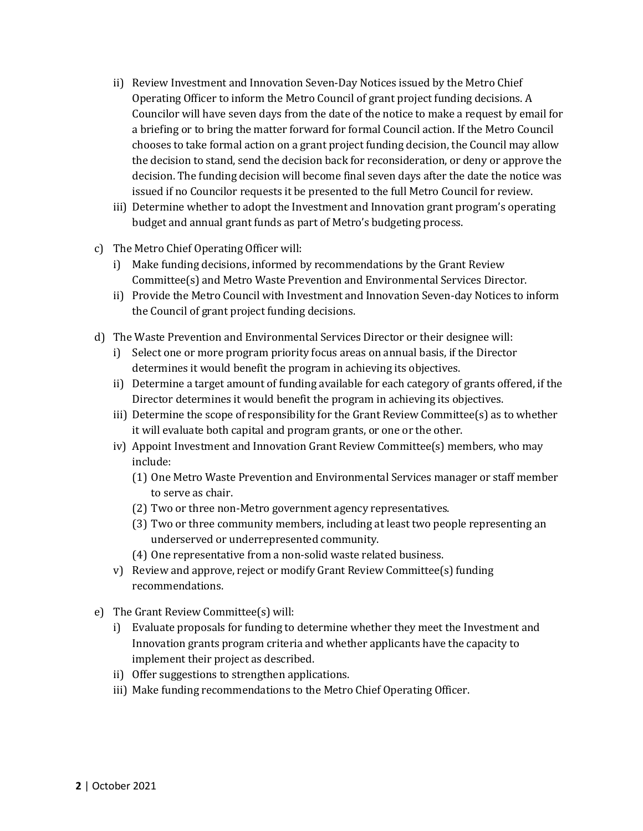- ii) Review Investment and Innovation Seven-Day Notices issued by the Metro Chief Operating Officer to inform the Metro Council of grant project funding decisions. A Councilor will have seven days from the date of the notice to make a request by email for a briefing or to bring the matter forward for formal Council action. If the Metro Council chooses to take formal action on a grant project funding decision, the Council may allow the decision to stand, send the decision back for reconsideration, or deny or approve the decision. The funding decision will become final seven days after the date the notice was issued if no Councilor requests it be presented to the full Metro Council for review.
- iii) Determine whether to adopt the Investment and Innovation grant program's operating budget and annual grant funds as part of Metro's budgeting process.
- c) The Metro Chief Operating Officer will:
	- i) Make funding decisions, informed by recommendations by the Grant Review Committee(s) and Metro Waste Prevention and Environmental Services Director.
	- ii) Provide the Metro Council with Investment and Innovation Seven-day Notices to inform the Council of grant project funding decisions.
- d) The Waste Prevention and Environmental Services Director or their designee will:
	- i) Select one or more program priority focus areas on annual basis, if the Director determines it would benefit the program in achieving its objectives.
	- ii) Determine a target amount of funding available for each category of grants offered, if the Director determines it would benefit the program in achieving its objectives.
	- iii) Determine the scope of responsibility for the Grant Review Committee(s) as to whether it will evaluate both capital and program grants, or one or the other.
	- iv) Appoint Investment and Innovation Grant Review Committee(s) members, who may include:
		- (1) One Metro Waste Prevention and Environmental Services manager or staff member to serve as chair.
		- (2) Two or three non-Metro government agency representatives.
		- (3) Two or three community members, including at least two people representing an underserved or underrepresented community.
		- (4) One representative from a non-solid waste related business.
	- v) Review and approve, reject or modify Grant Review Committee(s) funding recommendations.
- e) The Grant Review Committee(s) will:
	- i) Evaluate proposals for funding to determine whether they meet the Investment and Innovation grants program criteria and whether applicants have the capacity to implement their project as described.
	- ii) Offer suggestions to strengthen applications.
	- iii) Make funding recommendations to the Metro Chief Operating Officer.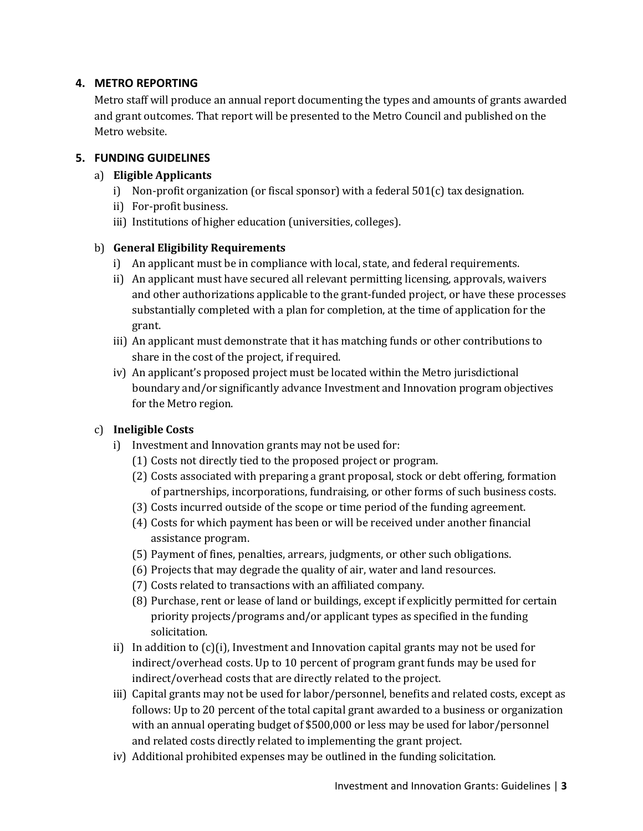## **4. METRO REPORTING**

Metro staff will produce an annual report documenting the types and amounts of grants awarded and grant outcomes. That report will be presented to the Metro Council and published on the Metro website.

#### **5. FUNDING GUIDELINES**

#### a) **Eligible Applicants**

- i) Non-profit organization (or fiscal sponsor) with a federal  $501(c)$  tax designation.
- ii) For-profit business.
- iii) Institutions of higher education (universities, colleges).

#### b) **General Eligibility Requirements**

- i) An applicant must be in compliance with local, state, and federal requirements.
- ii) An applicant must have secured all relevant permitting licensing, approvals, waivers and other authorizations applicable to the grant-funded project, or have these processes substantially completed with a plan for completion, at the time of application for the grant.
- iii) An applicant must demonstrate that it has matching funds or other contributions to share in the cost of the project, if required.
- iv) An applicant's proposed project must be located within the Metro jurisdictional boundary and/or significantly advance Investment and Innovation program objectives for the Metro region.

## c) **Ineligible Costs**

- i) Investment and Innovation grants may not be used for:
	- (1) Costs not directly tied to the proposed project or program.
	- (2) Costs associated with preparing a grant proposal, stock or debt offering, formation of partnerships, incorporations, fundraising, or other forms of such business costs.
	- (3) Costs incurred outside of the scope or time period of the funding agreement.
	- (4) Costs for which payment has been or will be received under another financial assistance program.
	- (5) Payment of fines, penalties, arrears, judgments, or other such obligations.
	- (6) Projects that may degrade the quality of air, water and land resources.
	- (7) Costs related to transactions with an affiliated company.
	- (8) Purchase, rent or lease of land or buildings, except if explicitly permitted for certain priority projects/programs and/or applicant types as specified in the funding solicitation.
- ii) In addition to  $(c)(i)$ , Investment and Innovation capital grants may not be used for indirect/overhead costs. Up to 10 percent of program grant funds may be used for indirect/overhead costs that are directly related to the project.
- iii) Capital grants may not be used for labor/personnel, benefits and related costs, except as follows: Up to 20 percent of the total capital grant awarded to a business or organization with an annual operating budget of \$500,000 or less may be used for labor/personnel and related costs directly related to implementing the grant project.
- iv) Additional prohibited expenses may be outlined in the funding solicitation.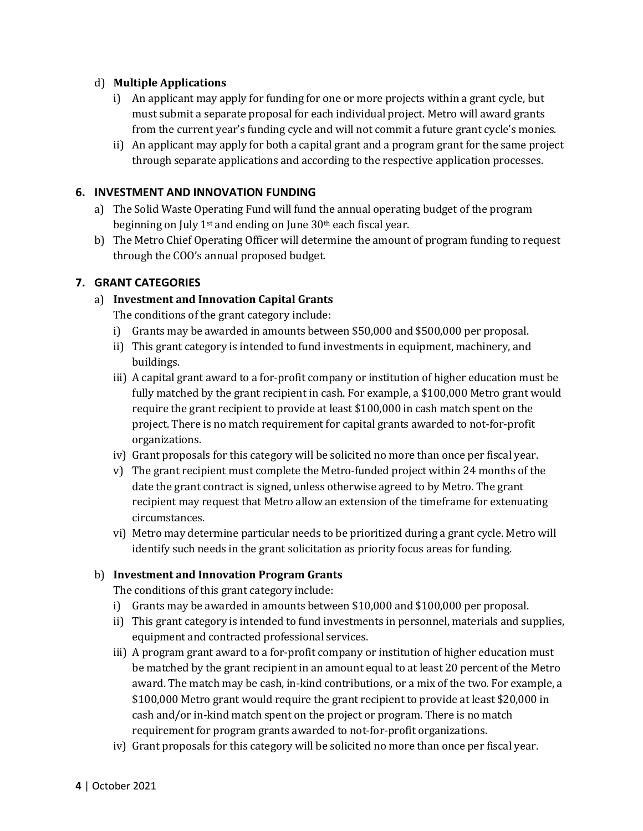#### d) **Multiple Applications**

- i) An applicant may apply for funding for one or more projects within a grant cycle, but must submit a separate proposal for each individual project. Metro will award grants from the current year's funding cycle and will not commit a future grant cycle's monies.
- ii) An applicant may apply for both a capital grant and a program grant for the same project through separate applications and according to the respective application processes.

## **6. INVESTMENT AND INNOVATION FUNDING**

- a) The Solid Waste Operating Fund will fund the annual operating budget of the program beginning on July 1<sup>st</sup> and ending on June 30<sup>th</sup> each fiscal year.
- b) The Metro Chief Operating Officer will determine the amount of program funding to request through the COO's annual proposed budget.

#### **7. GRANT CATEGORIES**

#### a) **Investment and Innovation Capital Grants**

The conditions of the grant category include:

- i) Grants may be awarded in amounts between \$50,000 and \$500,000 per proposal.
- ii) This grant category is intended to fund investments in equipment, machinery, and buildings.
- iii) A capital grant award to a for-profit company or institution of higher education must be fully matched by the grant recipient in cash. For example, a \$100,000 Metro grant would require the grant recipient to provide at least \$100,000 in cash match spent on the project. There is no match requirement for capital grants awarded to not-for-profit organizations.
- iv) Grant proposals for this category will be solicited no more than once per fiscal year.
- v) The grant recipient must complete the Metro-funded project within 24 months of the date the grant contract is signed, unless otherwise agreed to by Metro. The grant recipient may request that Metro allow an extension of the timeframe for extenuating circumstances.
- vi) Metro may determine particular needs to be prioritized during a grant cycle. Metro will identify such needs in the grant solicitation as priority focus areas for funding.

#### b) **Investment and Innovation Program Grants**

The conditions of this grant category include:

- i) Grants may be awarded in amounts between \$10,000 and \$100,000 per proposal.
- ii) This grant category is intended to fund investments in personnel, materials and supplies, equipment and contracted professional services.
- iii) A program grant award to a for-profit company or institution of higher education must be matched by the grant recipient in an amount equal to at least 20 percent of the Metro award. The match may be cash, in-kind contributions, or a mix of the two. For example, a \$100,000 Metro grant would require the grant recipient to provide at least \$20,000 in cash and/or in-kind match spent on the project or program. There is no match requirement for program grants awarded to not-for-profit organizations.
- iv) Grant proposals for this category will be solicited no more than once per fiscal year.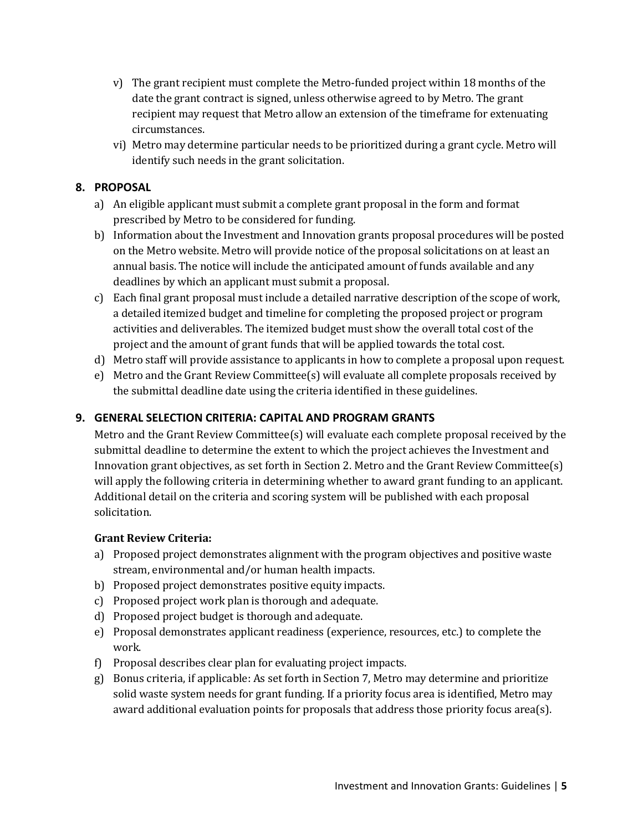- v) The grant recipient must complete the Metro-funded project within 18 months of the date the grant contract is signed, unless otherwise agreed to by Metro. The grant recipient may request that Metro allow an extension of the timeframe for extenuating circumstances.
- vi) Metro may determine particular needs to be prioritized during a grant cycle. Metro will identify such needs in the grant solicitation.

## **8. PROPOSAL**

- a) An eligible applicant must submit a complete grant proposal in the form and format prescribed by Metro to be considered for funding.
- b) Information about the Investment and Innovation grants proposal procedures will be posted on the Metro website. Metro will provide notice of the proposal solicitations on at least an annual basis. The notice will include the anticipated amount of funds available and any deadlines by which an applicant must submit a proposal.
- c) Each final grant proposal must include a detailed narrative description of the scope of work, a detailed itemized budget and timeline for completing the proposed project or program activities and deliverables. The itemized budget must show the overall total cost of the project and the amount of grant funds that will be applied towards the total cost.
- d) Metro staff will provide assistance to applicants in how to complete a proposal upon request.
- e) Metro and the Grant Review Committee(s) will evaluate all complete proposals received by the submittal deadline date using the criteria identified in these guidelines.

## **9. GENERAL SELECTION CRITERIA: CAPITAL AND PROGRAM GRANTS**

Metro and the Grant Review Committee(s) will evaluate each complete proposal received by the submittal deadline to determine the extent to which the project achieves the Investment and Innovation grant objectives, as set forth in Section 2. Metro and the Grant Review Committee(s) will apply the following criteria in determining whether to award grant funding to an applicant. Additional detail on the criteria and scoring system will be published with each proposal solicitation.

#### **Grant Review Criteria:**

- a) Proposed project demonstrates alignment with the program objectives and positive waste stream, environmental and/or human health impacts.
- b) Proposed project demonstrates positive equity impacts.
- c) Proposed project work plan is thorough and adequate.
- d) Proposed project budget is thorough and adequate.
- e) Proposal demonstrates applicant readiness (experience, resources, etc.) to complete the work.
- f) Proposal describes clear plan for evaluating project impacts.
- g) Bonus criteria, if applicable: As set forth in Section 7, Metro may determine and prioritize solid waste system needs for grant funding. If a priority focus area is identified, Metro may award additional evaluation points for proposals that address those priority focus area(s).